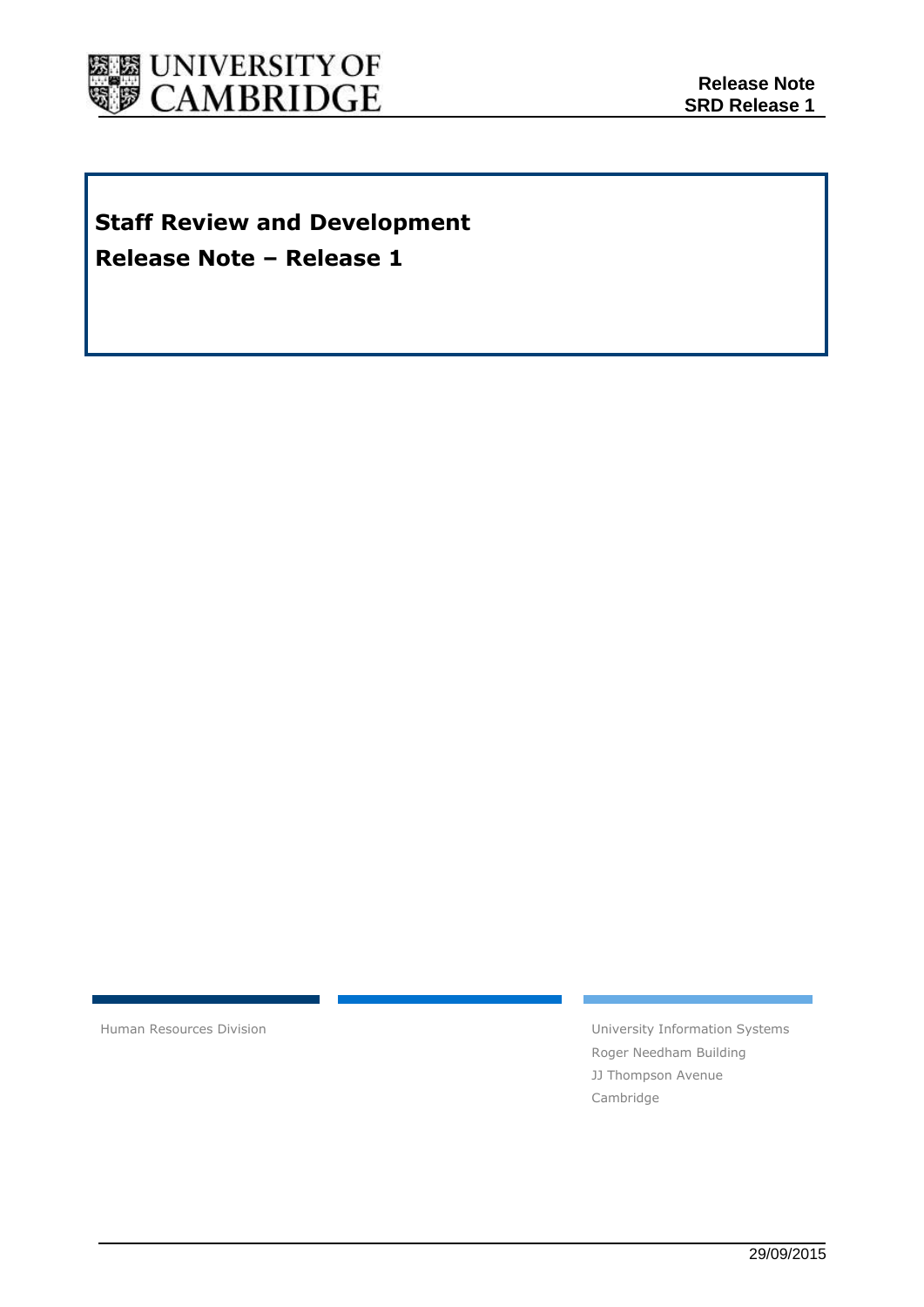

# **Staff Review and Development Release Note – Release 1**

Human Resources Division **National Executive Systems** University Information Systems Roger Needham Building JJ Thompson Avenue Cambridge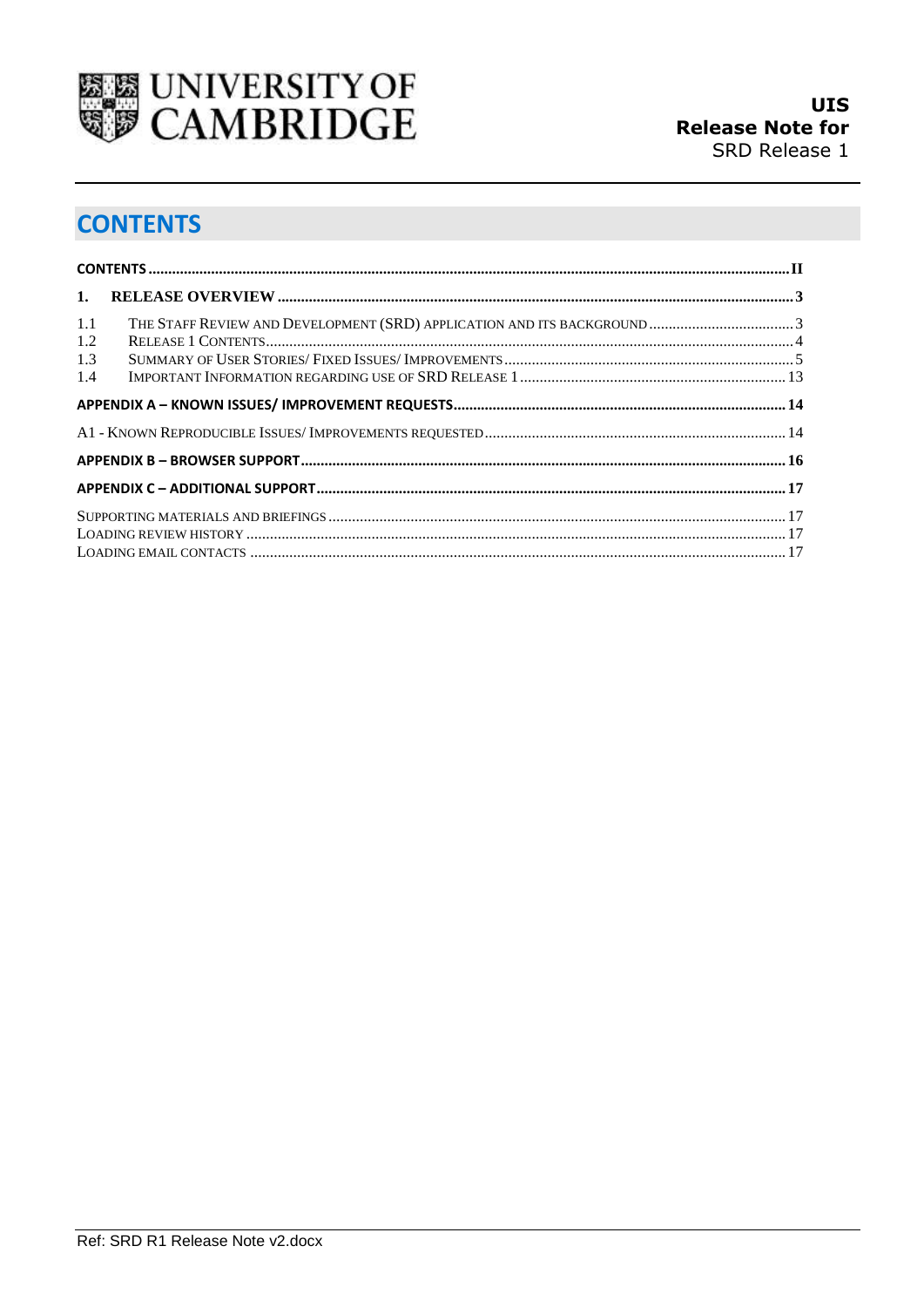

# <span id="page-1-0"></span>**CONTENTS**

| 1.<br>1.1         |  |
|-------------------|--|
|                   |  |
| 1.2<br>1.3<br>1.4 |  |
|                   |  |
|                   |  |
|                   |  |
|                   |  |
|                   |  |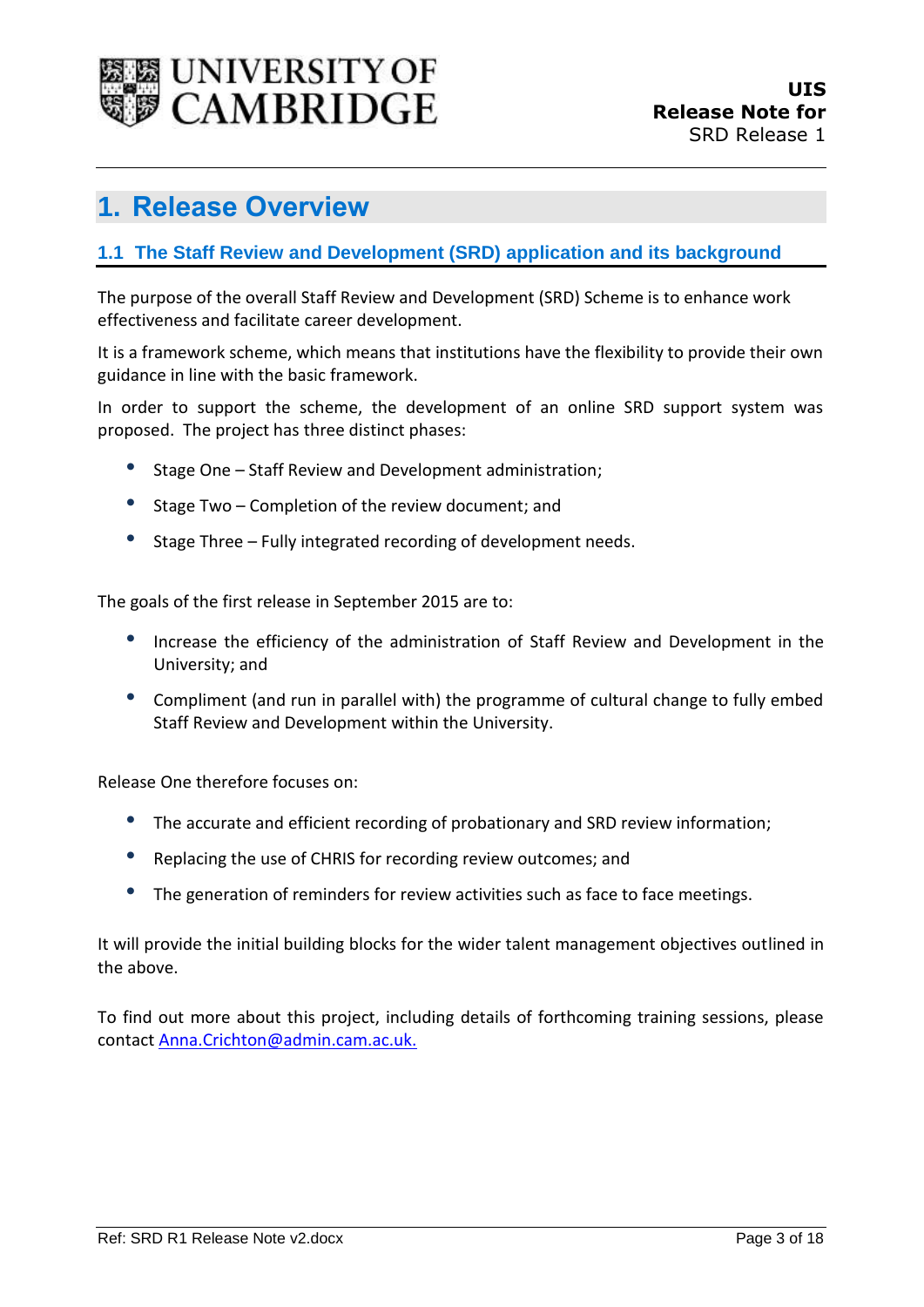

## <span id="page-2-0"></span>**1. Release Overview**

### <span id="page-2-1"></span>**1.1 The Staff Review and Development (SRD) application and its background**

The purpose of the overall Staff Review and Development (SRD) Scheme is to enhance work effectiveness and facilitate career development.

It is a framework scheme, which means that institutions have the flexibility to provide their own guidance in line with the basic framework.

In order to support the scheme, the development of an online SRD support system was proposed. The project has three distinct phases:

- Stage One Staff Review and Development administration;
- Stage Two Completion of the review document; and
- Stage Three Fully integrated recording of development needs.

The goals of the first release in September 2015 are to:

- Increase the efficiency of the administration of Staff Review and Development in the University; and
- Compliment (and run in parallel with) the programme of cultural change to fully embed Staff Review and Development within the University.

Release One therefore focuses on:

- The accurate and efficient recording of probationary and SRD review information;
- Replacing the use of CHRIS for recording review outcomes; and
- The generation of reminders for review activities such as face to face meetings.

It will provide the initial building blocks for the wider talent management objectives outlined in the above.

To find out more about this project, including details of forthcoming training sessions, please contact [Anna.Crichton@admin.cam.ac.uk.](mailto:Anna.Crichton@admin.cam.ac.uk)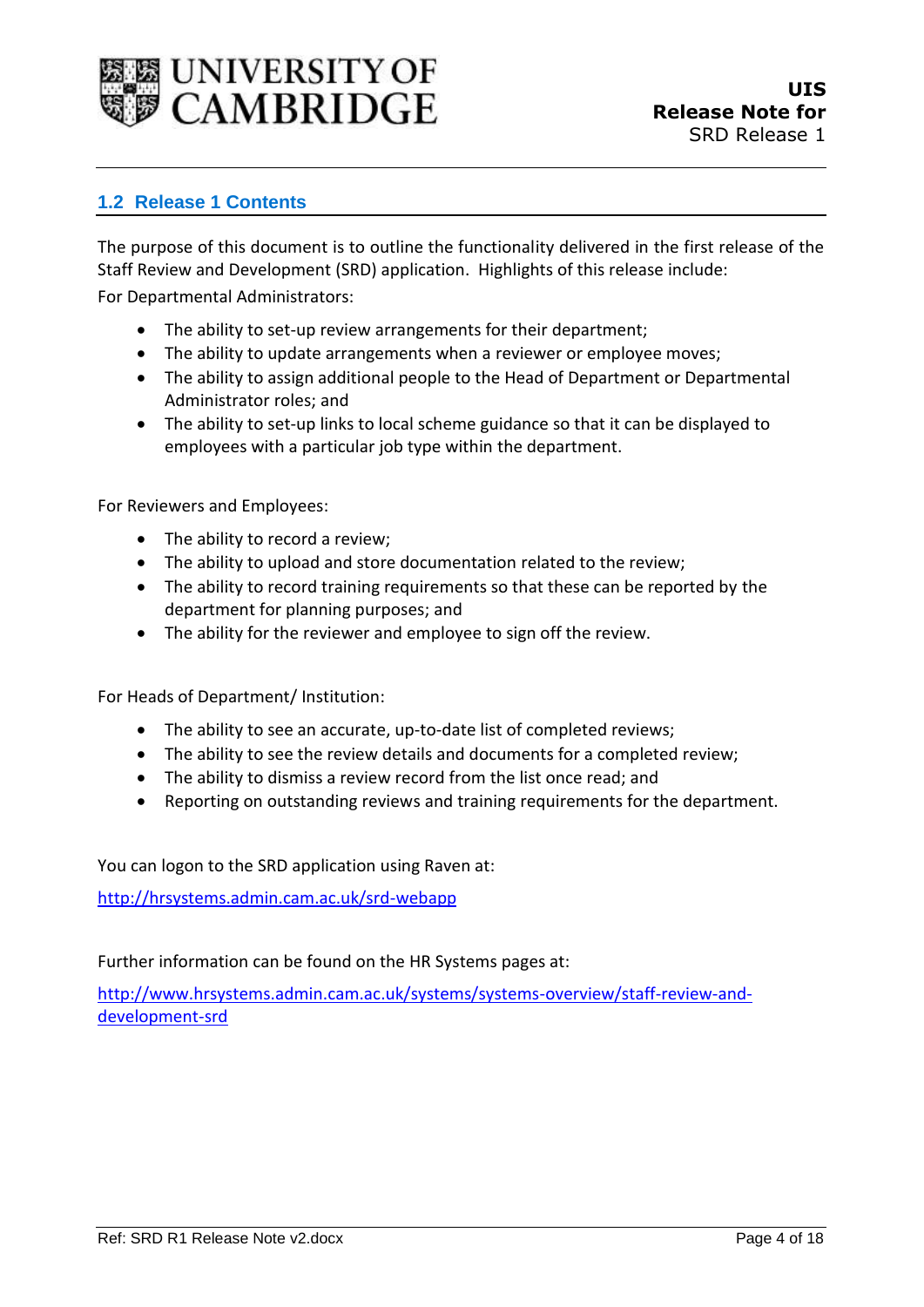

#### <span id="page-3-0"></span>**1.2 Release 1 Contents**

The purpose of this document is to outline the functionality delivered in the first release of the Staff Review and Development (SRD) application. Highlights of this release include:

For Departmental Administrators:

- The ability to set-up review arrangements for their department;
- The ability to update arrangements when a reviewer or employee moves;
- The ability to assign additional people to the Head of Department or Departmental Administrator roles; and
- The ability to set-up links to local scheme guidance so that it can be displayed to employees with a particular job type within the department.

For Reviewers and Employees:

- The ability to record a review:
- The ability to upload and store documentation related to the review;
- The ability to record training requirements so that these can be reported by the department for planning purposes; and
- The ability for the reviewer and employee to sign off the review.

For Heads of Department/ Institution:

- The ability to see an accurate, up-to-date list of completed reviews;
- The ability to see the review details and documents for a completed review;
- The ability to dismiss a review record from the list once read; and
- Reporting on outstanding reviews and training requirements for the department.

You can logon to the SRD application using Raven at:

<http://hrsystems.admin.cam.ac.uk/srd-webapp>

Further information can be found on the HR Systems pages at:

[http://www.hrsystems.admin.cam.ac.uk/systems/systems-overview/staff-review-and](http://www.hrsystems.admin.cam.ac.uk/systems/systems-overview/staff-review-and-development-srd)[development-srd](http://www.hrsystems.admin.cam.ac.uk/systems/systems-overview/staff-review-and-development-srd)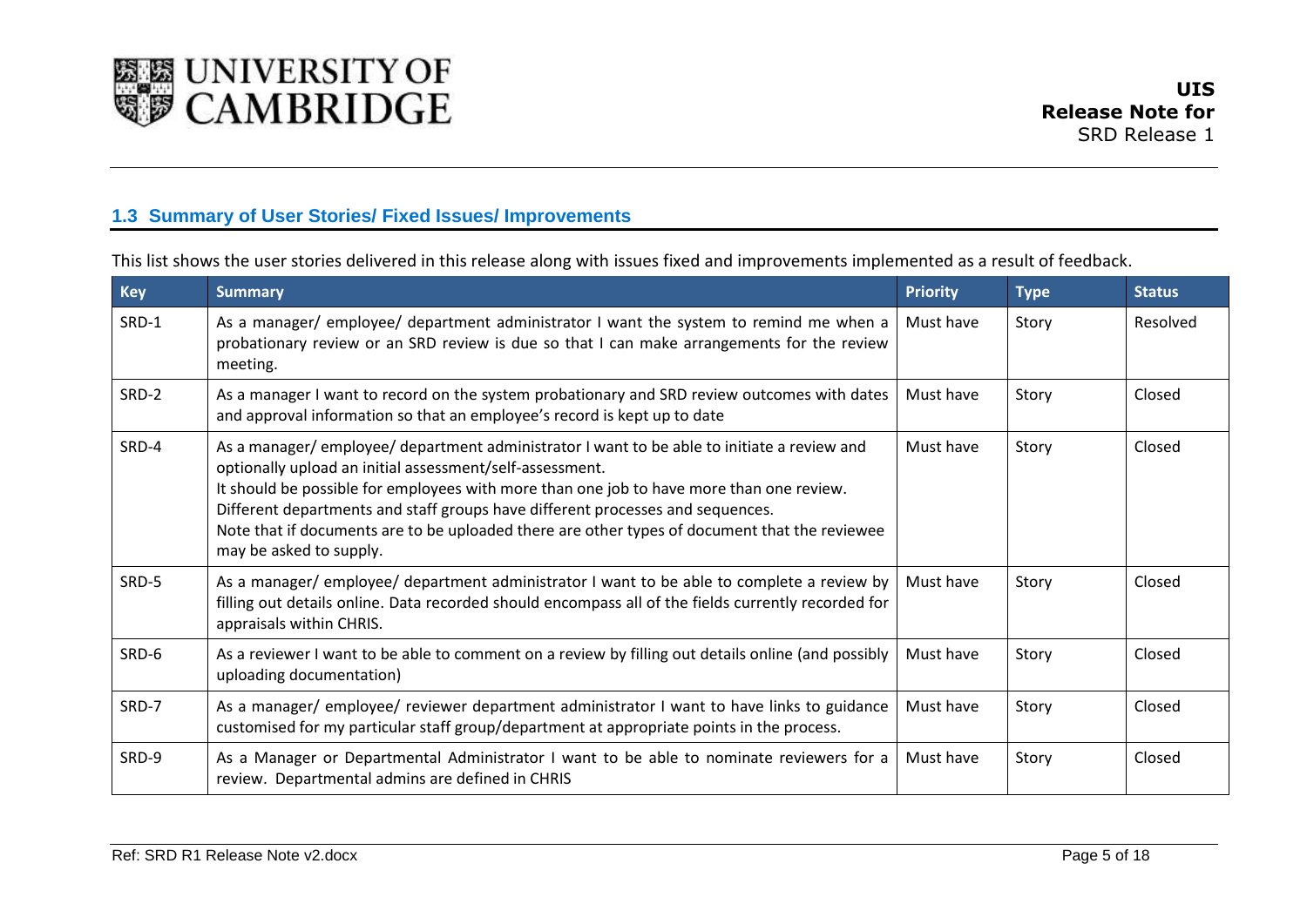

### **1.3 Summary of User Stories/ Fixed Issues/ Improvements**

This list shows the user stories delivered in this release along with issues fixed and improvements implemented as a result of feedback.

<span id="page-4-0"></span>

| <b>Key</b> | <b>Summary</b>                                                                                                                                                                                                                                                                                                                                                                                                                                                  | <b>Priority</b> | <b>Type</b> | <b>Status</b> |
|------------|-----------------------------------------------------------------------------------------------------------------------------------------------------------------------------------------------------------------------------------------------------------------------------------------------------------------------------------------------------------------------------------------------------------------------------------------------------------------|-----------------|-------------|---------------|
| SRD-1      | As a manager/ employee/ department administrator I want the system to remind me when a<br>probationary review or an SRD review is due so that I can make arrangements for the review<br>meeting.                                                                                                                                                                                                                                                                | Must have       | Story       | Resolved      |
| SRD-2      | As a manager I want to record on the system probationary and SRD review outcomes with dates<br>and approval information so that an employee's record is kept up to date                                                                                                                                                                                                                                                                                         | Must have       | Story       | Closed        |
| SRD-4      | As a manager/employee/department administrator I want to be able to initiate a review and<br>optionally upload an initial assessment/self-assessment.<br>It should be possible for employees with more than one job to have more than one review.<br>Different departments and staff groups have different processes and sequences.<br>Note that if documents are to be uploaded there are other types of document that the reviewee<br>may be asked to supply. | Must have       | Story       | Closed        |
| SRD-5      | As a manager/employee/department administrator I want to be able to complete a review by<br>filling out details online. Data recorded should encompass all of the fields currently recorded for<br>appraisals within CHRIS.                                                                                                                                                                                                                                     | Must have       | Story       | Closed        |
| SRD-6      | As a reviewer I want to be able to comment on a review by filling out details online (and possibly<br>uploading documentation)                                                                                                                                                                                                                                                                                                                                  | Must have       | Story       | Closed        |
| SRD-7      | As a manager/ employee/ reviewer department administrator I want to have links to guidance<br>customised for my particular staff group/department at appropriate points in the process.                                                                                                                                                                                                                                                                         | Must have       | Story       | Closed        |
| SRD-9      | As a Manager or Departmental Administrator I want to be able to nominate reviewers for a<br>review. Departmental admins are defined in CHRIS                                                                                                                                                                                                                                                                                                                    | Must have       | Story       | Closed        |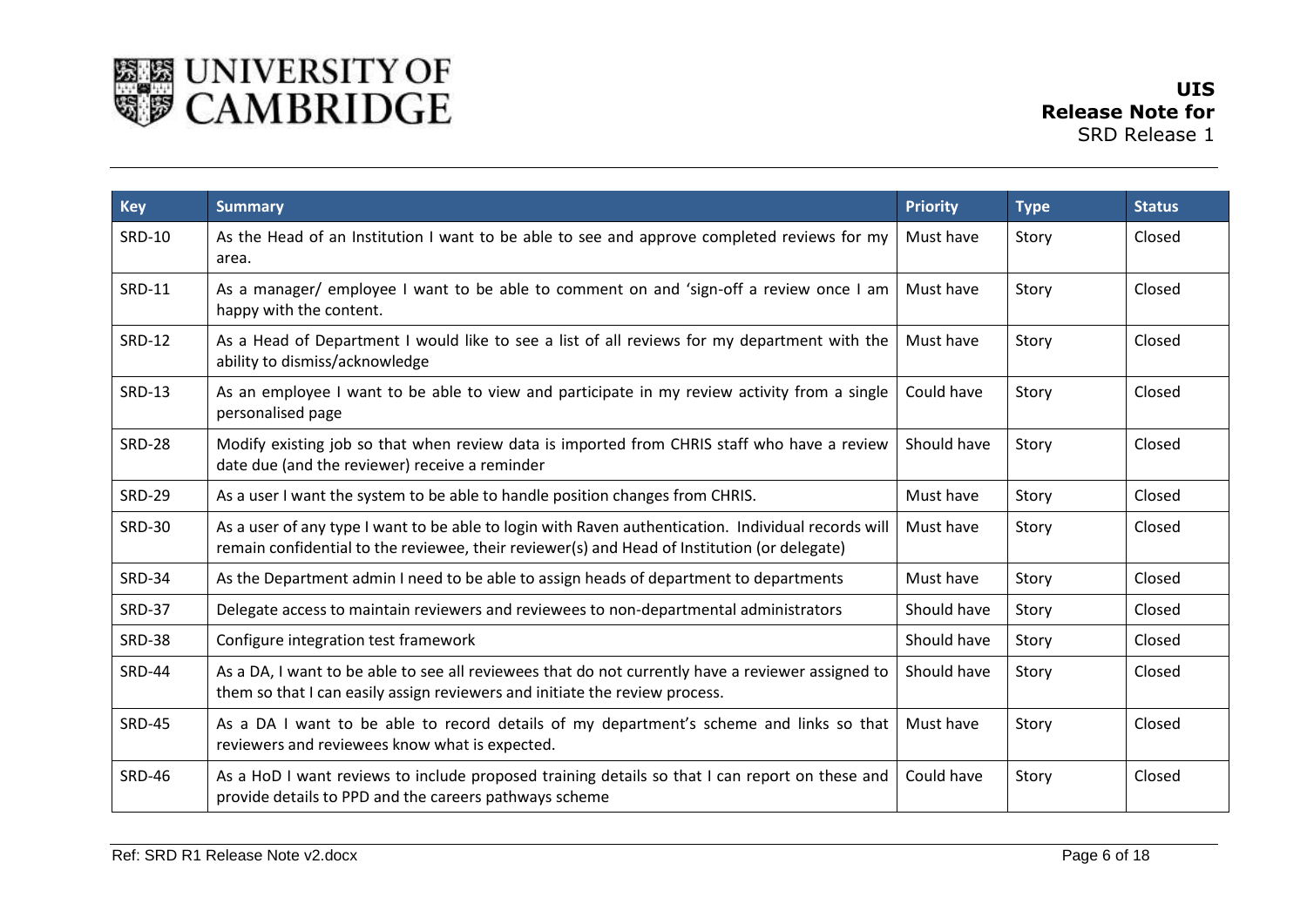

| <b>Key</b>    | <b>Summary</b>                                                                                                                                                                                      | <b>Priority</b> | <b>Type</b> | <b>Status</b> |
|---------------|-----------------------------------------------------------------------------------------------------------------------------------------------------------------------------------------------------|-----------------|-------------|---------------|
| <b>SRD-10</b> | As the Head of an Institution I want to be able to see and approve completed reviews for my<br>area.                                                                                                | Must have       | Story       | Closed        |
| <b>SRD-11</b> | As a manager/ employee I want to be able to comment on and 'sign-off a review once I am<br>happy with the content.                                                                                  | Must have       | Story       | Closed        |
| <b>SRD-12</b> | As a Head of Department I would like to see a list of all reviews for my department with the<br>ability to dismiss/acknowledge                                                                      | Must have       | Story       | Closed        |
| <b>SRD-13</b> | As an employee I want to be able to view and participate in my review activity from a single<br>personalised page                                                                                   | Could have      | Story       | Closed        |
| <b>SRD-28</b> | Modify existing job so that when review data is imported from CHRIS staff who have a review<br>date due (and the reviewer) receive a reminder                                                       | Should have     | Story       | Closed        |
| <b>SRD-29</b> | As a user I want the system to be able to handle position changes from CHRIS.                                                                                                                       | Must have       | Story       | Closed        |
| <b>SRD-30</b> | As a user of any type I want to be able to login with Raven authentication. Individual records will<br>remain confidential to the reviewee, their reviewer(s) and Head of Institution (or delegate) | Must have       | Story       | Closed        |
| <b>SRD-34</b> | As the Department admin I need to be able to assign heads of department to departments                                                                                                              | Must have       | Story       | Closed        |
| <b>SRD-37</b> | Delegate access to maintain reviewers and reviewees to non-departmental administrators                                                                                                              | Should have     | Story       | Closed        |
| <b>SRD-38</b> | Configure integration test framework                                                                                                                                                                | Should have     | Story       | Closed        |
| <b>SRD-44</b> | As a DA, I want to be able to see all reviewees that do not currently have a reviewer assigned to<br>them so that I can easily assign reviewers and initiate the review process.                    | Should have     | Story       | Closed        |
| <b>SRD-45</b> | As a DA I want to be able to record details of my department's scheme and links so that<br>reviewers and reviewees know what is expected.                                                           | Must have       | Story       | Closed        |
| <b>SRD-46</b> | As a HoD I want reviews to include proposed training details so that I can report on these and<br>provide details to PPD and the careers pathways scheme                                            | Could have      | Story       | Closed        |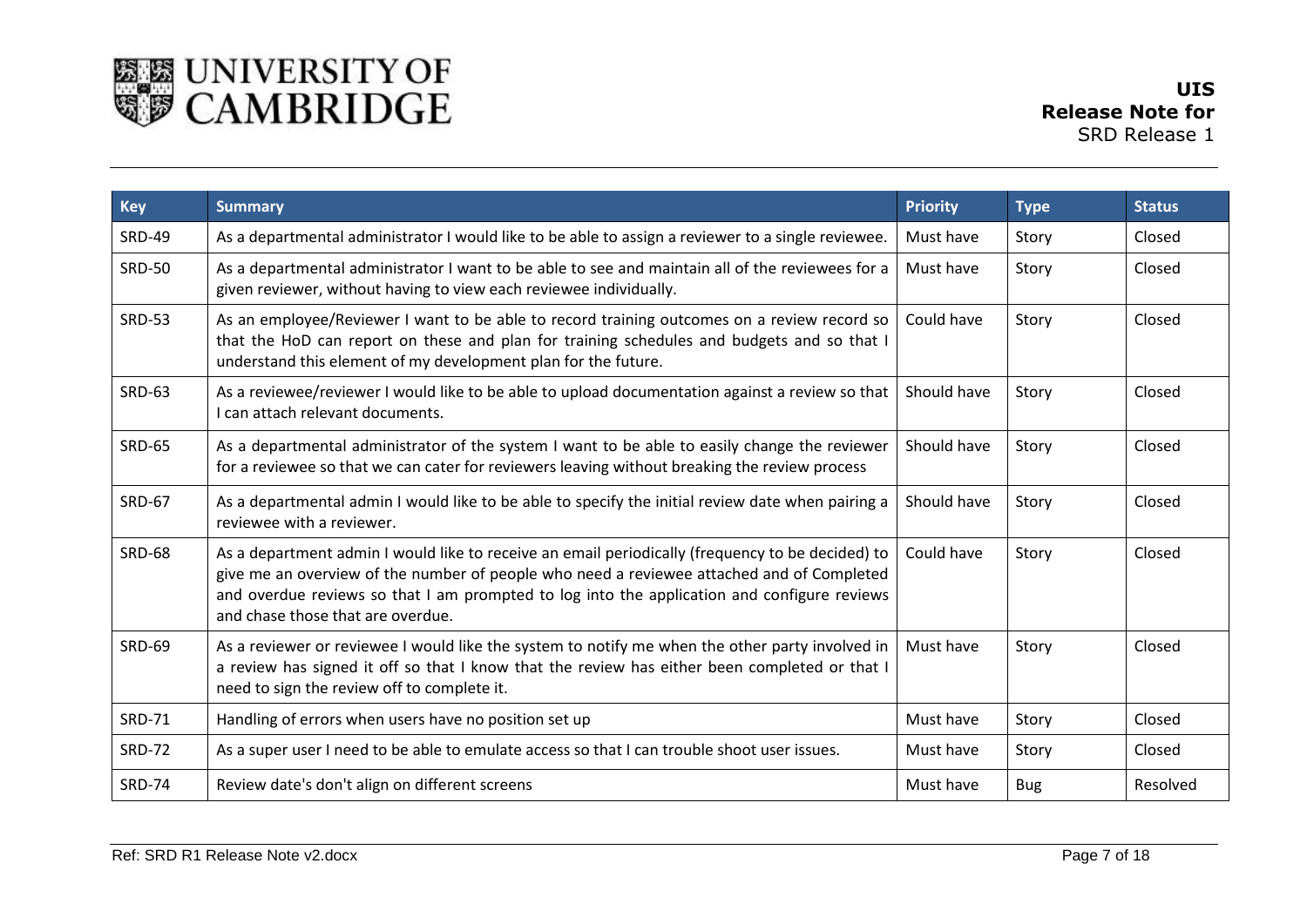

| <b>Key</b>    | <b>Summary</b>                                                                                                                                                                                                                                                                                                                    | <b>Priority</b> | <b>Type</b> | <b>Status</b> |
|---------------|-----------------------------------------------------------------------------------------------------------------------------------------------------------------------------------------------------------------------------------------------------------------------------------------------------------------------------------|-----------------|-------------|---------------|
| <b>SRD-49</b> | As a departmental administrator I would like to be able to assign a reviewer to a single reviewee.                                                                                                                                                                                                                                | Must have       | Story       | Closed        |
| <b>SRD-50</b> | As a departmental administrator I want to be able to see and maintain all of the reviewees for a<br>given reviewer, without having to view each reviewee individually.                                                                                                                                                            | Must have       | Story       | Closed        |
| <b>SRD-53</b> | As an employee/Reviewer I want to be able to record training outcomes on a review record so<br>that the HoD can report on these and plan for training schedules and budgets and so that I<br>understand this element of my development plan for the future.                                                                       | Could have      | Story       | Closed        |
| <b>SRD-63</b> | As a reviewee/reviewer I would like to be able to upload documentation against a review so that<br>I can attach relevant documents.                                                                                                                                                                                               | Should have     | Story       | Closed        |
| <b>SRD-65</b> | As a departmental administrator of the system I want to be able to easily change the reviewer<br>for a reviewee so that we can cater for reviewers leaving without breaking the review process                                                                                                                                    | Should have     | Story       | Closed        |
| <b>SRD-67</b> | As a departmental admin I would like to be able to specify the initial review date when pairing a<br>reviewee with a reviewer.                                                                                                                                                                                                    | Should have     | Story       | Closed        |
| <b>SRD-68</b> | As a department admin I would like to receive an email periodically (frequency to be decided) to<br>give me an overview of the number of people who need a reviewee attached and of Completed<br>and overdue reviews so that I am prompted to log into the application and configure reviews<br>and chase those that are overdue. | Could have      | Story       | Closed        |
| <b>SRD-69</b> | As a reviewer or reviewee I would like the system to notify me when the other party involved in<br>a review has signed it off so that I know that the review has either been completed or that I<br>need to sign the review off to complete it.                                                                                   | Must have       | Story       | Closed        |
| <b>SRD-71</b> | Handling of errors when users have no position set up                                                                                                                                                                                                                                                                             | Must have       | Story       | Closed        |
| <b>SRD-72</b> | As a super user I need to be able to emulate access so that I can trouble shoot user issues.                                                                                                                                                                                                                                      | Must have       | Story       | Closed        |
| <b>SRD-74</b> | Review date's don't align on different screens                                                                                                                                                                                                                                                                                    | Must have       | <b>Bug</b>  | Resolved      |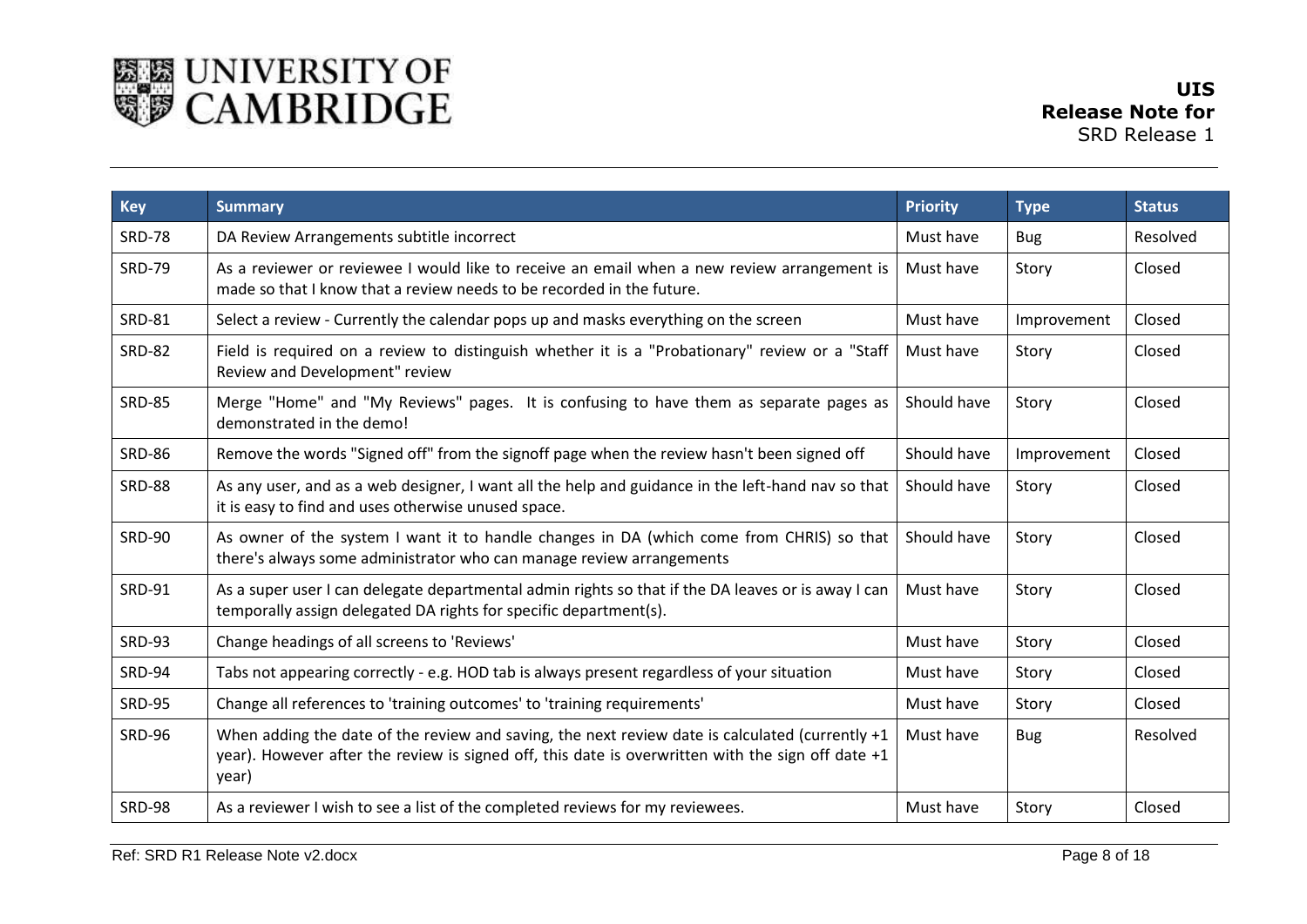

| <b>Key</b>    | <b>Summary</b>                                                                                                                                                                                                    | <b>Priority</b> | <b>Type</b> | <b>Status</b> |
|---------------|-------------------------------------------------------------------------------------------------------------------------------------------------------------------------------------------------------------------|-----------------|-------------|---------------|
| <b>SRD-78</b> | DA Review Arrangements subtitle incorrect                                                                                                                                                                         | Must have       | <b>Bug</b>  | Resolved      |
| <b>SRD-79</b> | As a reviewer or reviewee I would like to receive an email when a new review arrangement is<br>made so that I know that a review needs to be recorded in the future.                                              | Must have       | Story       | Closed        |
| <b>SRD-81</b> | Select a review - Currently the calendar pops up and masks everything on the screen                                                                                                                               | Must have       | Improvement | Closed        |
| <b>SRD-82</b> | Field is required on a review to distinguish whether it is a "Probationary" review or a "Staff<br>Review and Development" review                                                                                  | Must have       | Story       | Closed        |
| <b>SRD-85</b> | Merge "Home" and "My Reviews" pages. It is confusing to have them as separate pages as<br>demonstrated in the demo!                                                                                               | Should have     | Story       | Closed        |
| <b>SRD-86</b> | Remove the words "Signed off" from the signoff page when the review hasn't been signed off                                                                                                                        | Should have     | Improvement | Closed        |
| <b>SRD-88</b> | As any user, and as a web designer, I want all the help and guidance in the left-hand nav so that<br>it is easy to find and uses otherwise unused space.                                                          | Should have     | Story       | Closed        |
| <b>SRD-90</b> | As owner of the system I want it to handle changes in DA (which come from CHRIS) so that<br>there's always some administrator who can manage review arrangements                                                  | Should have     | Story       | Closed        |
| <b>SRD-91</b> | As a super user I can delegate departmental admin rights so that if the DA leaves or is away I can<br>temporally assign delegated DA rights for specific department(s).                                           | Must have       | Story       | Closed        |
| <b>SRD-93</b> | Change headings of all screens to 'Reviews'                                                                                                                                                                       | Must have       | Story       | Closed        |
| <b>SRD-94</b> | Tabs not appearing correctly - e.g. HOD tab is always present regardless of your situation                                                                                                                        | Must have       | Story       | Closed        |
| <b>SRD-95</b> | Change all references to 'training outcomes' to 'training requirements'                                                                                                                                           | Must have       | Story       | Closed        |
| <b>SRD-96</b> | When adding the date of the review and saving, the next review date is calculated (currently $+1$<br>year). However after the review is signed off, this date is overwritten with the sign off date $+1$<br>year) | Must have       | <b>Bug</b>  | Resolved      |
| <b>SRD-98</b> | As a reviewer I wish to see a list of the completed reviews for my reviewees.                                                                                                                                     | Must have       | Story       | Closed        |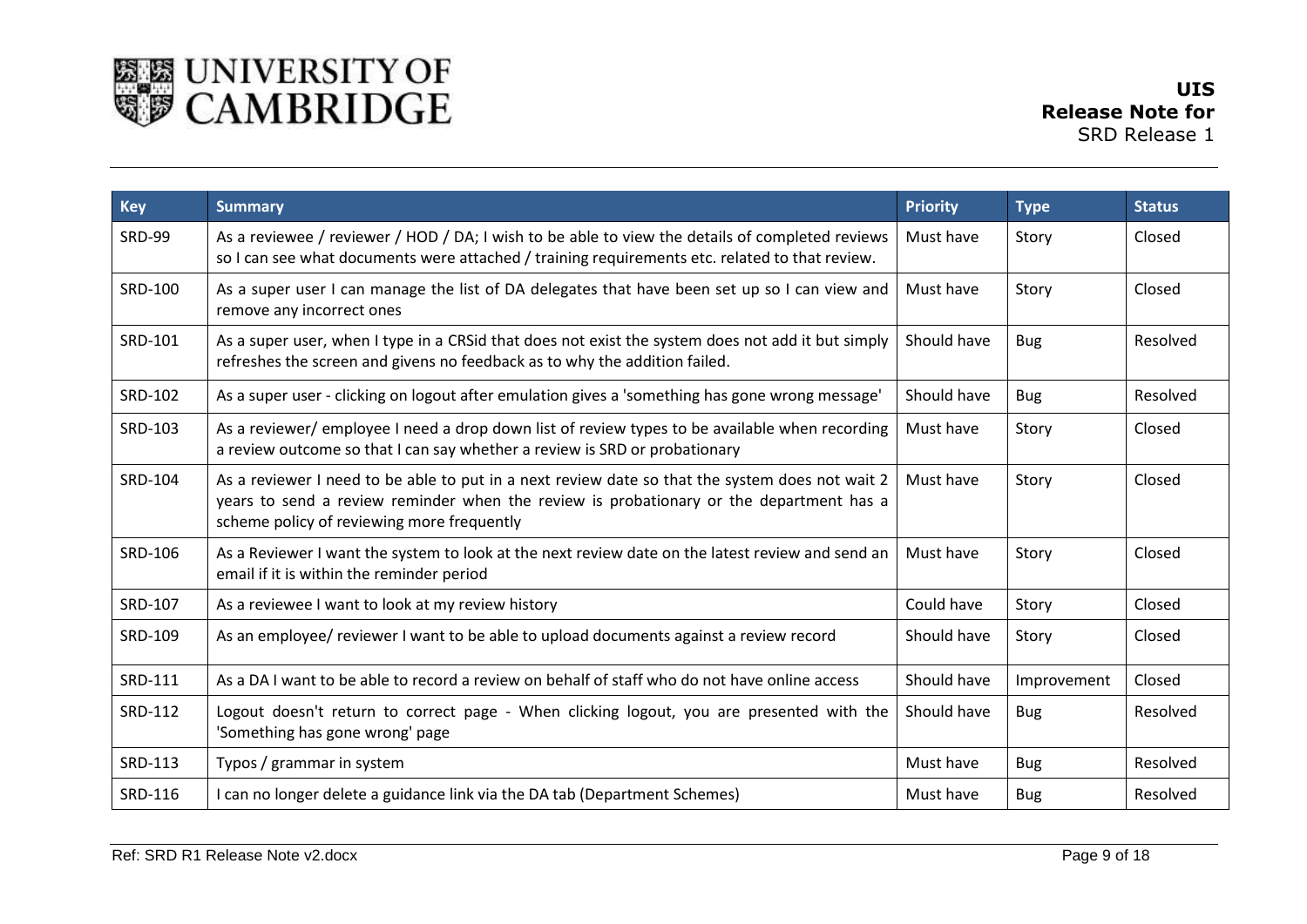

| <b>Key</b>    | <b>Summary</b>                                                                                                                                                                                                                           | <b>Priority</b> | <b>Type</b> | <b>Status</b> |
|---------------|------------------------------------------------------------------------------------------------------------------------------------------------------------------------------------------------------------------------------------------|-----------------|-------------|---------------|
| <b>SRD-99</b> | As a reviewee / reviewer / HOD / DA; I wish to be able to view the details of completed reviews<br>so I can see what documents were attached / training requirements etc. related to that review.                                        | Must have       | Story       | Closed        |
| SRD-100       | As a super user I can manage the list of DA delegates that have been set up so I can view and<br>remove any incorrect ones                                                                                                               | Must have       | Story       | Closed        |
| SRD-101       | As a super user, when I type in a CRSid that does not exist the system does not add it but simply<br>refreshes the screen and givens no feedback as to why the addition failed.                                                          | Should have     | <b>Bug</b>  | Resolved      |
| SRD-102       | As a super user - clicking on logout after emulation gives a 'something has gone wrong message'                                                                                                                                          | Should have     | <b>Bug</b>  | Resolved      |
| SRD-103       | As a reviewer/ employee I need a drop down list of review types to be available when recording<br>a review outcome so that I can say whether a review is SRD or probationary                                                             | Must have       | Story       | Closed        |
| SRD-104       | As a reviewer I need to be able to put in a next review date so that the system does not wait 2<br>years to send a review reminder when the review is probationary or the department has a<br>scheme policy of reviewing more frequently | Must have       | Story       | Closed        |
| SRD-106       | As a Reviewer I want the system to look at the next review date on the latest review and send an<br>email if it is within the reminder period                                                                                            | Must have       | Story       | Closed        |
| SRD-107       | As a reviewee I want to look at my review history                                                                                                                                                                                        | Could have      | Story       | Closed        |
| SRD-109       | As an employee/ reviewer I want to be able to upload documents against a review record                                                                                                                                                   | Should have     | Story       | Closed        |
| SRD-111       | As a DA I want to be able to record a review on behalf of staff who do not have online access                                                                                                                                            | Should have     | Improvement | Closed        |
| SRD-112       | Logout doesn't return to correct page - When clicking logout, you are presented with the<br>'Something has gone wrong' page                                                                                                              | Should have     | <b>Bug</b>  | Resolved      |
| SRD-113       | Typos / grammar in system                                                                                                                                                                                                                | Must have       | <b>Bug</b>  | Resolved      |
| SRD-116       | I can no longer delete a guidance link via the DA tab (Department Schemes)                                                                                                                                                               | Must have       | <b>Bug</b>  | Resolved      |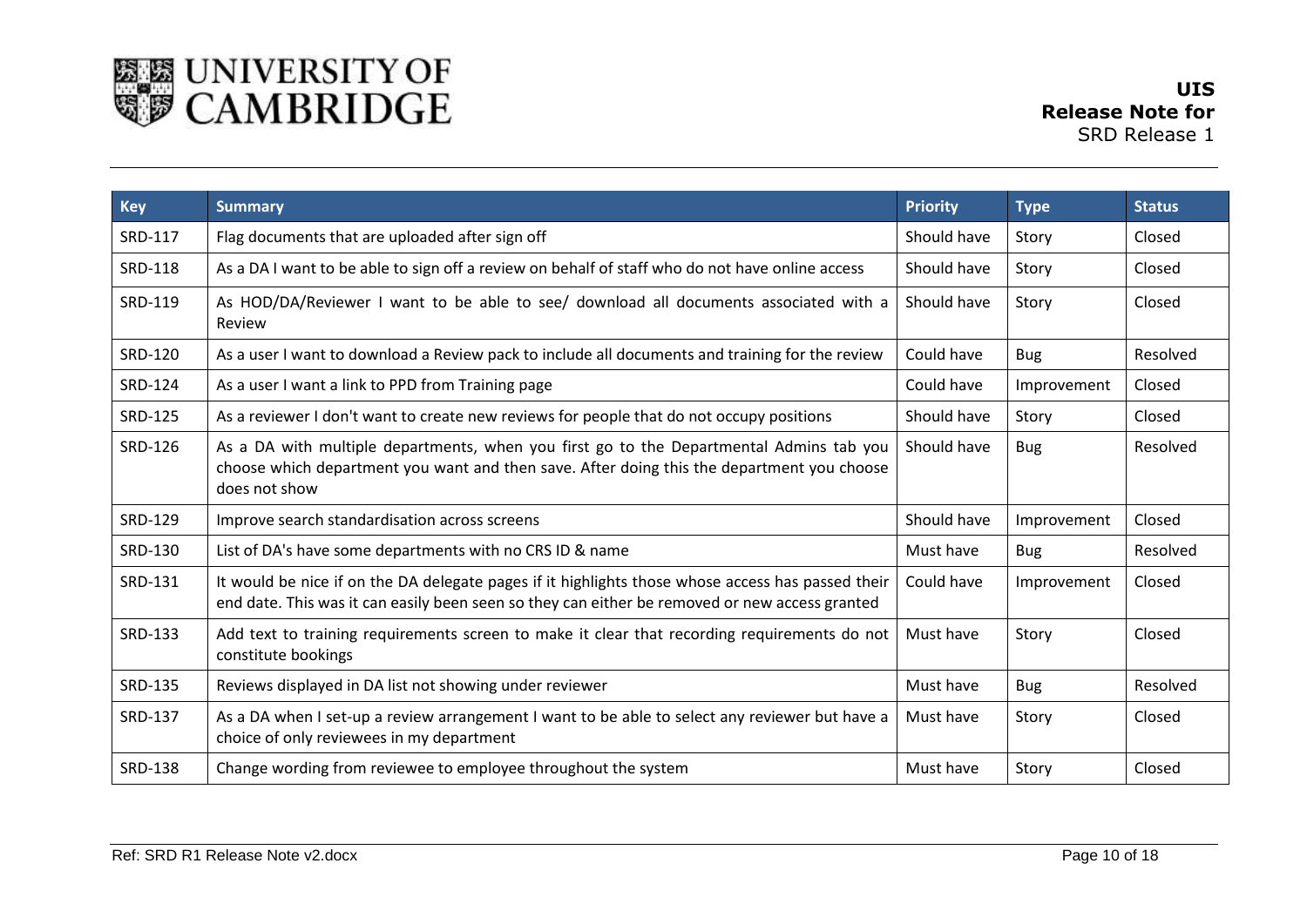

| <b>Key</b>     | <b>Summary</b>                                                                                                                                                                                         | <b>Priority</b> | <b>Type</b> | <b>Status</b> |
|----------------|--------------------------------------------------------------------------------------------------------------------------------------------------------------------------------------------------------|-----------------|-------------|---------------|
| SRD-117        | Flag documents that are uploaded after sign off                                                                                                                                                        | Should have     | Story       | Closed        |
| SRD-118        | As a DA I want to be able to sign off a review on behalf of staff who do not have online access                                                                                                        | Should have     | Story       | Closed        |
| SRD-119        | As HOD/DA/Reviewer I want to be able to see/ download all documents associated with a<br>Review                                                                                                        | Should have     | Story       | Closed        |
| SRD-120        | As a user I want to download a Review pack to include all documents and training for the review                                                                                                        | Could have      | <b>Bug</b>  | Resolved      |
| SRD-124        | As a user I want a link to PPD from Training page                                                                                                                                                      | Could have      | Improvement | Closed        |
| SRD-125        | As a reviewer I don't want to create new reviews for people that do not occupy positions                                                                                                               | Should have     | Story       | Closed        |
| SRD-126        | As a DA with multiple departments, when you first go to the Departmental Admins tab you<br>choose which department you want and then save. After doing this the department you choose<br>does not show | Should have     | <b>Bug</b>  | Resolved      |
| SRD-129        | Improve search standardisation across screens                                                                                                                                                          | Should have     | Improvement | Closed        |
| SRD-130        | List of DA's have some departments with no CRS ID & name                                                                                                                                               | Must have       | <b>Bug</b>  | Resolved      |
| SRD-131        | It would be nice if on the DA delegate pages if it highlights those whose access has passed their<br>end date. This was it can easily been seen so they can either be removed or new access granted    | Could have      | Improvement | Closed        |
| SRD-133        | Add text to training requirements screen to make it clear that recording requirements do not<br>constitute bookings                                                                                    | Must have       | Story       | Closed        |
| SRD-135        | Reviews displayed in DA list not showing under reviewer                                                                                                                                                | Must have       | <b>Bug</b>  | Resolved      |
| SRD-137        | As a DA when I set-up a review arrangement I want to be able to select any reviewer but have a<br>choice of only reviewees in my department                                                            | Must have       | Story       | Closed        |
| <b>SRD-138</b> | Change wording from reviewee to employee throughout the system                                                                                                                                         | Must have       | Story       | Closed        |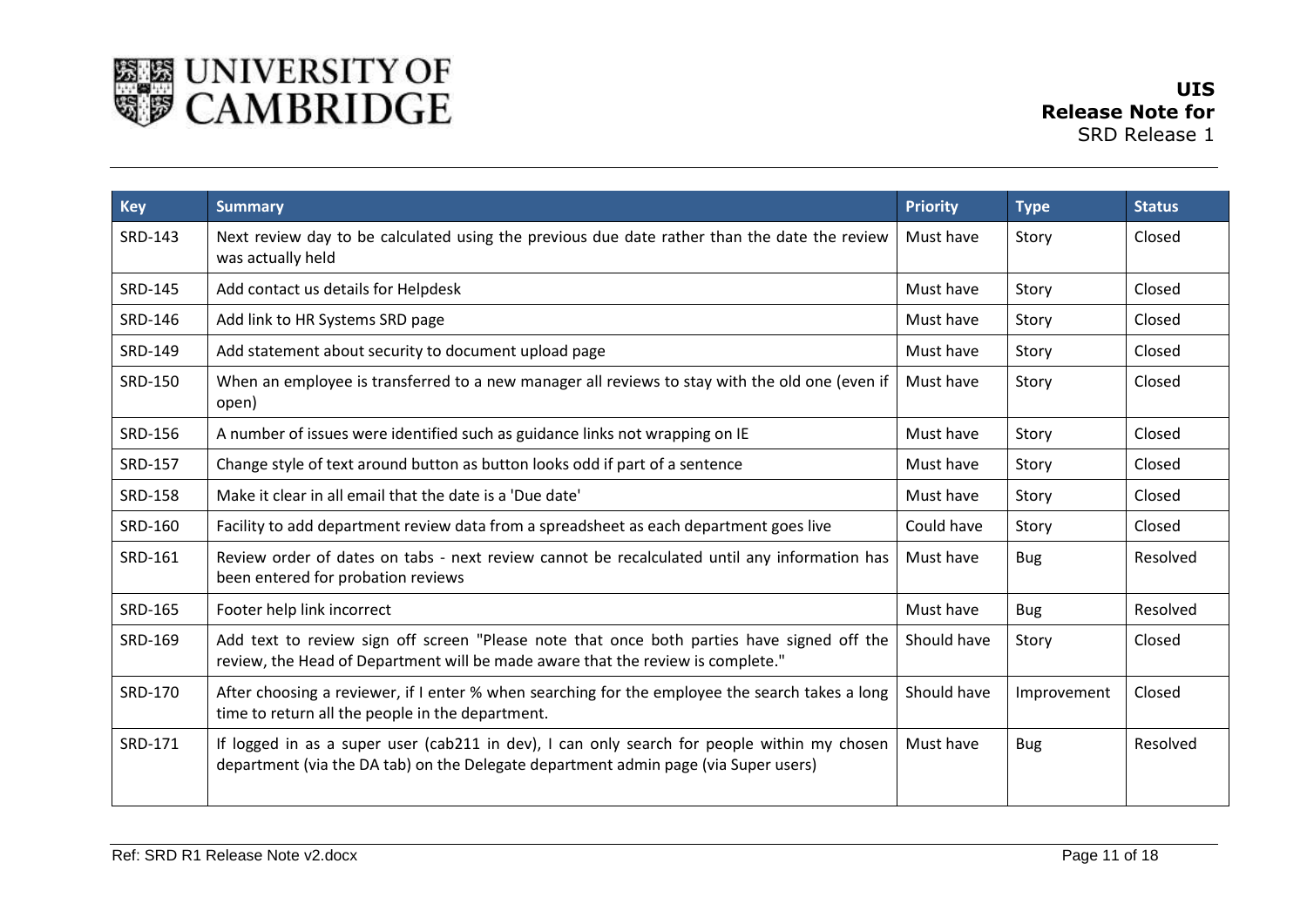

| <b>Key</b>     | <b>Summary</b>                                                                                                                                                                     | <b>Priority</b> | <b>Type</b> | <b>Status</b> |
|----------------|------------------------------------------------------------------------------------------------------------------------------------------------------------------------------------|-----------------|-------------|---------------|
| SRD-143        | Next review day to be calculated using the previous due date rather than the date the review<br>was actually held                                                                  | Must have       | Story       | Closed        |
| SRD-145        | Add contact us details for Helpdesk                                                                                                                                                | Must have       | Story       | Closed        |
| SRD-146        | Add link to HR Systems SRD page                                                                                                                                                    | Must have       | Story       | Closed        |
| SRD-149        | Add statement about security to document upload page                                                                                                                               | Must have       | Story       | Closed        |
| SRD-150        | When an employee is transferred to a new manager all reviews to stay with the old one (even if<br>open)                                                                            | Must have       | Story       | Closed        |
| SRD-156        | A number of issues were identified such as guidance links not wrapping on IE                                                                                                       | Must have       | Story       | Closed        |
| SRD-157        | Change style of text around button as button looks odd if part of a sentence                                                                                                       | Must have       | Story       | Closed        |
| <b>SRD-158</b> | Make it clear in all email that the date is a 'Due date'                                                                                                                           | Must have       | Story       | Closed        |
| SRD-160        | Facility to add department review data from a spreadsheet as each department goes live                                                                                             | Could have      | Story       | Closed        |
| SRD-161        | Review order of dates on tabs - next review cannot be recalculated until any information has<br>been entered for probation reviews                                                 | Must have       | <b>Bug</b>  | Resolved      |
| SRD-165        | Footer help link incorrect                                                                                                                                                         | Must have       | <b>Bug</b>  | Resolved      |
| SRD-169        | Add text to review sign off screen "Please note that once both parties have signed off the<br>review, the Head of Department will be made aware that the review is complete."      | Should have     | Story       | Closed        |
| SRD-170        | After choosing a reviewer, if I enter % when searching for the employee the search takes a long<br>time to return all the people in the department.                                | Should have     | Improvement | Closed        |
| SRD-171        | If logged in as a super user (cab211 in dev), I can only search for people within my chosen<br>department (via the DA tab) on the Delegate department admin page (via Super users) | Must have       | <b>Bug</b>  | Resolved      |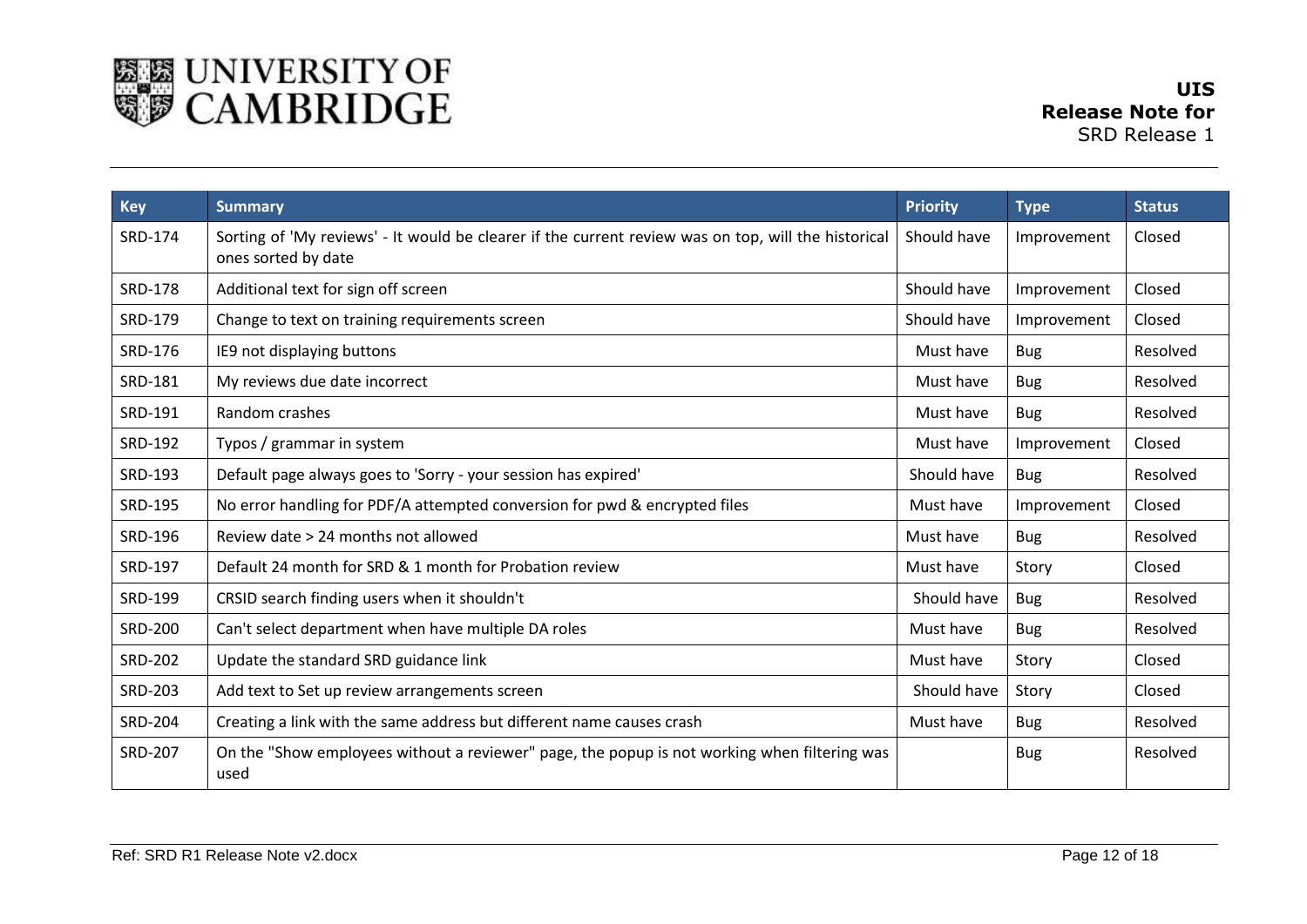

| <b>Key</b>     | <b>Summary</b>                                                                                                             | <b>Priority</b> | <b>Type</b> | <b>Status</b> |
|----------------|----------------------------------------------------------------------------------------------------------------------------|-----------------|-------------|---------------|
| SRD-174        | Sorting of 'My reviews' - It would be clearer if the current review was on top, will the historical<br>ones sorted by date | Should have     | Improvement | Closed        |
| <b>SRD-178</b> | Additional text for sign off screen                                                                                        | Should have     | Improvement | Closed        |
| SRD-179        | Change to text on training requirements screen                                                                             | Should have     | Improvement | Closed        |
| SRD-176        | IE9 not displaying buttons                                                                                                 | Must have       | <b>Bug</b>  | Resolved      |
| SRD-181        | My reviews due date incorrect                                                                                              | Must have       | <b>Bug</b>  | Resolved      |
| SRD-191        | Random crashes                                                                                                             | Must have       | <b>Bug</b>  | Resolved      |
| SRD-192        | Typos / grammar in system                                                                                                  | Must have       | Improvement | Closed        |
| SRD-193        | Default page always goes to 'Sorry - your session has expired'                                                             | Should have     | <b>Bug</b>  | Resolved      |
| SRD-195        | No error handling for PDF/A attempted conversion for pwd & encrypted files                                                 | Must have       | Improvement | Closed        |
| SRD-196        | Review date > 24 months not allowed                                                                                        | Must have       | <b>Bug</b>  | Resolved      |
| SRD-197        | Default 24 month for SRD & 1 month for Probation review                                                                    | Must have       | Story       | Closed        |
| SRD-199        | CRSID search finding users when it shouldn't                                                                               | Should have     | <b>Bug</b>  | Resolved      |
| <b>SRD-200</b> | Can't select department when have multiple DA roles                                                                        | Must have       | <b>Bug</b>  | Resolved      |
| <b>SRD-202</b> | Update the standard SRD guidance link                                                                                      | Must have       | Story       | Closed        |
| <b>SRD-203</b> | Add text to Set up review arrangements screen                                                                              | Should have     | Story       | Closed        |
| <b>SRD-204</b> | Creating a link with the same address but different name causes crash                                                      | Must have       | <b>Bug</b>  | Resolved      |
| <b>SRD-207</b> | On the "Show employees without a reviewer" page, the popup is not working when filtering was<br>used                       |                 | <b>Bug</b>  | Resolved      |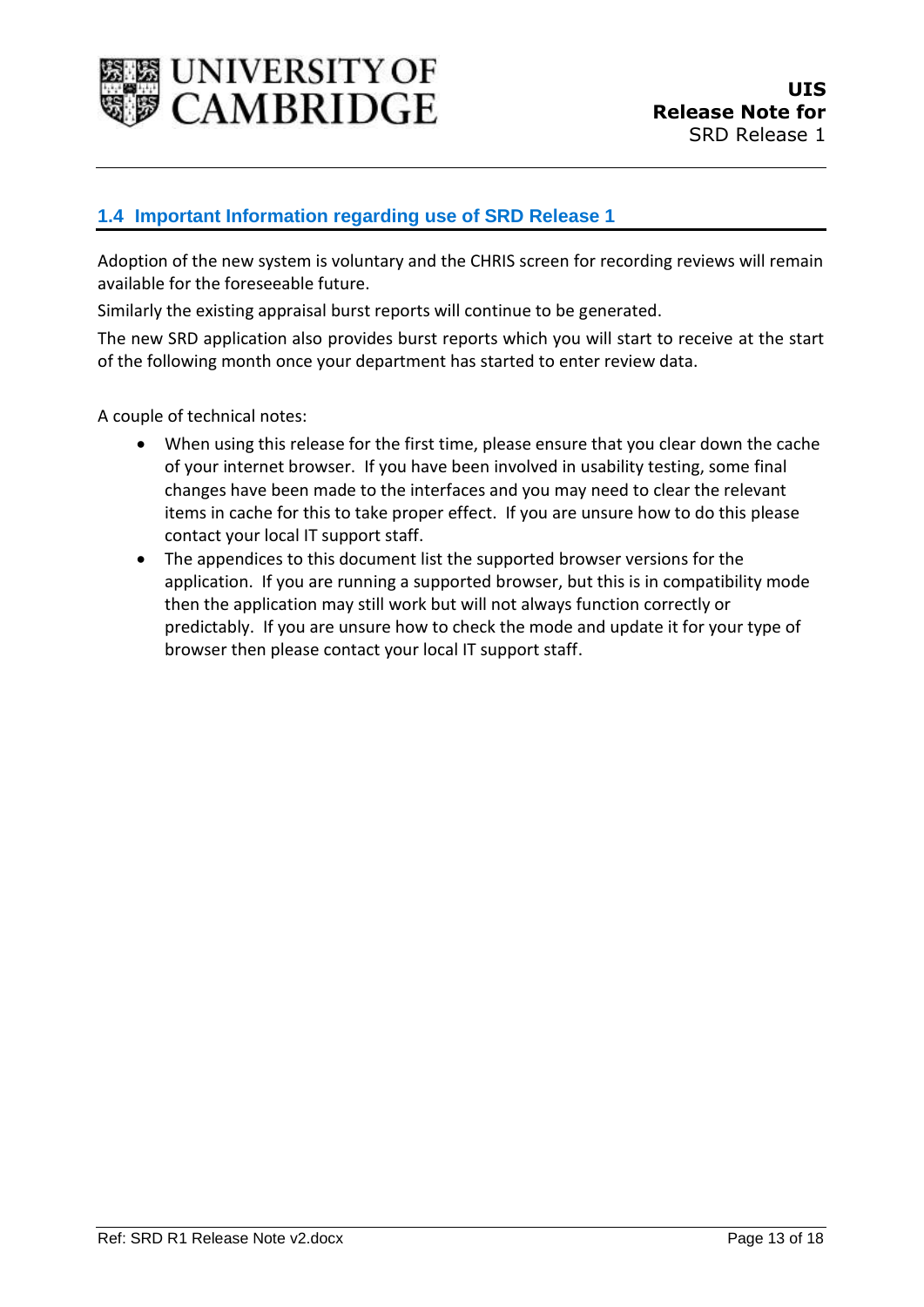

### <span id="page-12-0"></span>**1.4 Important Information regarding use of SRD Release 1**

Adoption of the new system is voluntary and the CHRIS screen for recording reviews will remain available for the foreseeable future.

Similarly the existing appraisal burst reports will continue to be generated.

The new SRD application also provides burst reports which you will start to receive at the start of the following month once your department has started to enter review data.

A couple of technical notes:

- When using this release for the first time, please ensure that you clear down the cache of your internet browser. If you have been involved in usability testing, some final changes have been made to the interfaces and you may need to clear the relevant items in cache for this to take proper effect. If you are unsure how to do this please contact your local IT support staff.
- The appendices to this document list the supported browser versions for the application. If you are running a supported browser, but this is in compatibility mode then the application may still work but will not always function correctly or predictably. If you are unsure how to check the mode and update it for your type of browser then please contact your local IT support staff.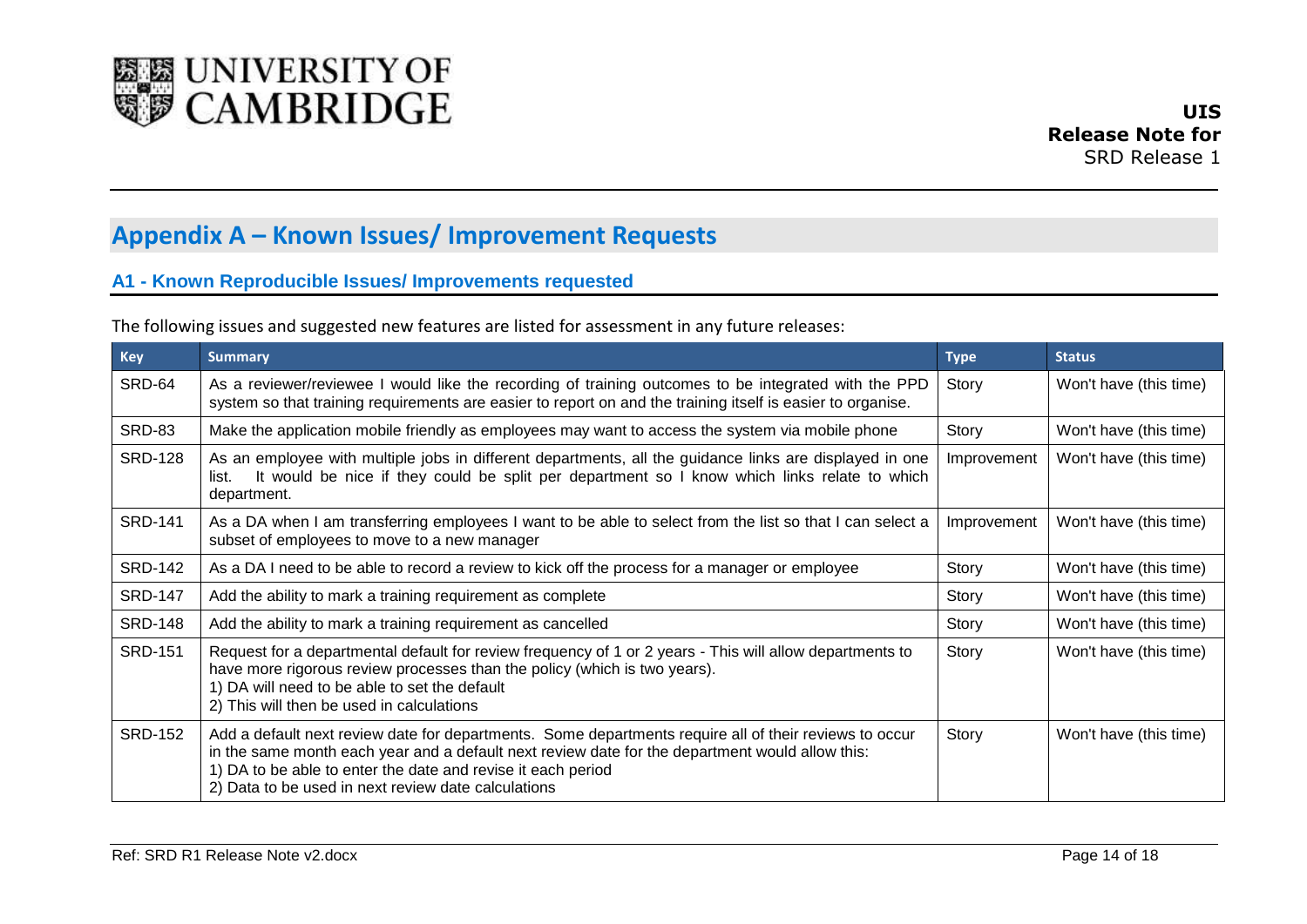

## **Appendix A – Known Issues/ Improvement Requests**

### **A1 - Known Reproducible Issues/ Improvements requested**

|  | The following issues and suggested new features are listed for assessment in any future releases: |
|--|---------------------------------------------------------------------------------------------------|
|--|---------------------------------------------------------------------------------------------------|

<span id="page-13-1"></span><span id="page-13-0"></span>

| <b>Key</b>     | <b>Summary</b>                                                                                                                                                                                                                                                                                                                   | <b>Type</b> | <b>Status</b>          |
|----------------|----------------------------------------------------------------------------------------------------------------------------------------------------------------------------------------------------------------------------------------------------------------------------------------------------------------------------------|-------------|------------------------|
| SRD-64         | As a reviewer/reviewee I would like the recording of training outcomes to be integrated with the PPD<br>system so that training requirements are easier to report on and the training itself is easier to organise.                                                                                                              | Story       | Won't have (this time) |
| <b>SRD-83</b>  | Make the application mobile friendly as employees may want to access the system via mobile phone                                                                                                                                                                                                                                 | Story       | Won't have (this time) |
| <b>SRD-128</b> | As an employee with multiple jobs in different departments, all the guidance links are displayed in one<br>It would be nice if they could be split per department so I know which links relate to which<br>list.<br>department.                                                                                                  | Improvement | Won't have (this time) |
| <b>SRD-141</b> | As a DA when I am transferring employees I want to be able to select from the list so that I can select a<br>subset of employees to move to a new manager                                                                                                                                                                        | Improvement | Won't have (this time) |
| <b>SRD-142</b> | As a DA I need to be able to record a review to kick off the process for a manager or employee                                                                                                                                                                                                                                   | Story       | Won't have (this time) |
| <b>SRD-147</b> | Add the ability to mark a training requirement as complete                                                                                                                                                                                                                                                                       | Story       | Won't have (this time) |
| <b>SRD-148</b> | Add the ability to mark a training requirement as cancelled                                                                                                                                                                                                                                                                      | Story       | Won't have (this time) |
| <b>SRD-151</b> | Request for a departmental default for review frequency of 1 or 2 years - This will allow departments to<br>have more rigorous review processes than the policy (which is two years).<br>1) DA will need to be able to set the default<br>2) This will then be used in calculations                                              | Story       | Won't have (this time) |
| <b>SRD-152</b> | Add a default next review date for departments. Some departments require all of their reviews to occur<br>in the same month each year and a default next review date for the department would allow this:<br>1) DA to be able to enter the date and revise it each period<br>2) Data to be used in next review date calculations | Story       | Won't have (this time) |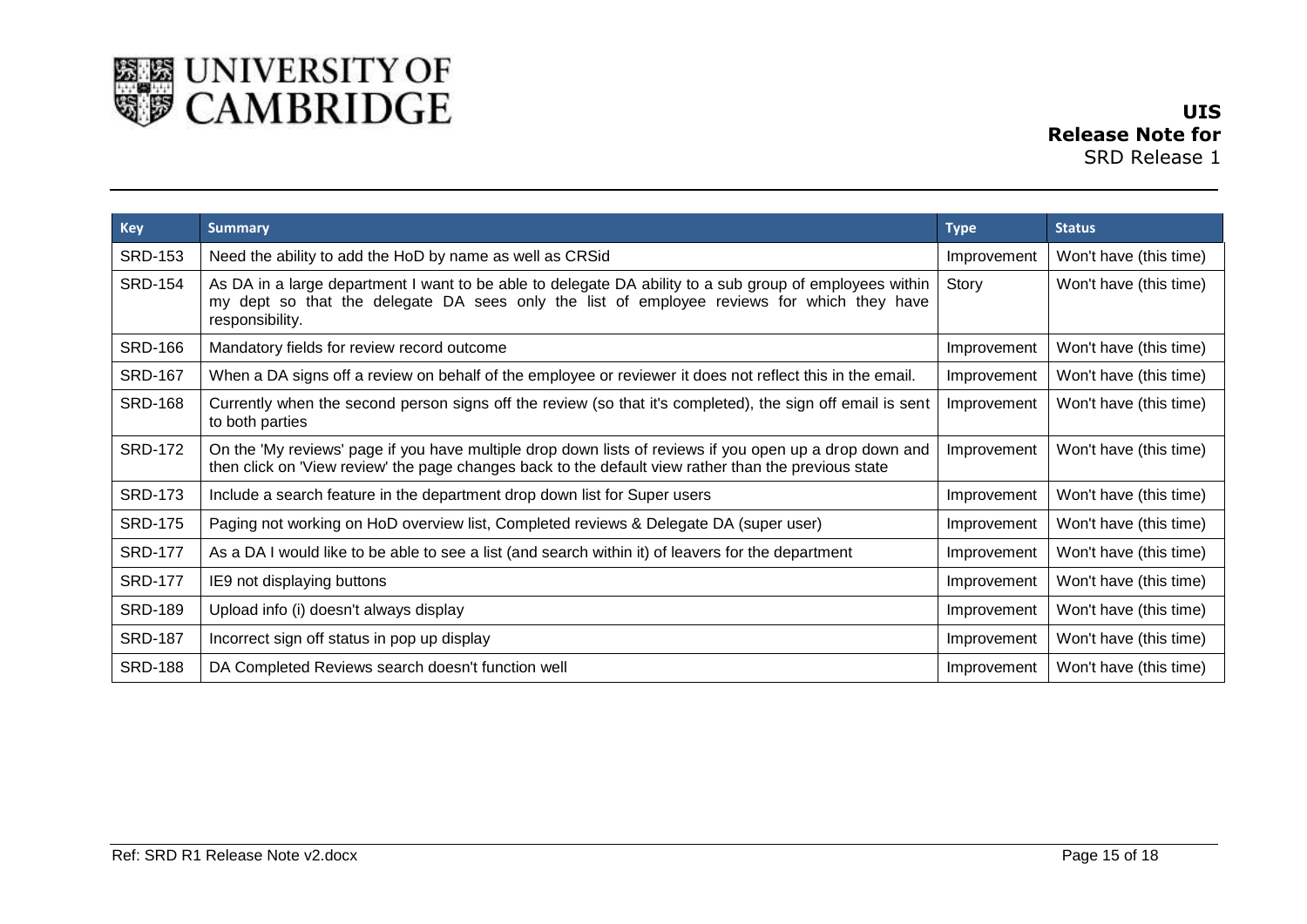

| Key            | <b>Summary</b>                                                                                                                                                                                                           | <b>Type</b> | <b>Status</b>          |
|----------------|--------------------------------------------------------------------------------------------------------------------------------------------------------------------------------------------------------------------------|-------------|------------------------|
| <b>SRD-153</b> | Need the ability to add the HoD by name as well as CRSid                                                                                                                                                                 | Improvement | Won't have (this time) |
| <b>SRD-154</b> | As DA in a large department I want to be able to delegate DA ability to a sub group of employees within<br>my dept so that the delegate DA sees only the list of employee reviews for which they have<br>responsibility. | Story       | Won't have (this time) |
| <b>SRD-166</b> | Mandatory fields for review record outcome                                                                                                                                                                               | Improvement | Won't have (this time) |
| <b>SRD-167</b> | When a DA signs off a review on behalf of the employee or reviewer it does not reflect this in the email.                                                                                                                | Improvement | Won't have (this time) |
| <b>SRD-168</b> | Currently when the second person signs off the review (so that it's completed), the sign off email is sent<br>to both parties                                                                                            | Improvement | Won't have (this time) |
| <b>SRD-172</b> | On the 'My reviews' page if you have multiple drop down lists of reviews if you open up a drop down and<br>then click on 'View review' the page changes back to the default view rather than the previous state          | Improvement | Won't have (this time) |
| <b>SRD-173</b> | Include a search feature in the department drop down list for Super users                                                                                                                                                | Improvement | Won't have (this time) |
| <b>SRD-175</b> | Paging not working on HoD overview list, Completed reviews & Delegate DA (super user)                                                                                                                                    | Improvement | Won't have (this time) |
| <b>SRD-177</b> | As a DA I would like to be able to see a list (and search within it) of leavers for the department                                                                                                                       | Improvement | Won't have (this time) |
| <b>SRD-177</b> | IE9 not displaying buttons                                                                                                                                                                                               | Improvement | Won't have (this time) |
| <b>SRD-189</b> | Upload info (i) doesn't always display                                                                                                                                                                                   | Improvement | Won't have (this time) |
| <b>SRD-187</b> | Incorrect sign off status in pop up display                                                                                                                                                                              | Improvement | Won't have (this time) |
| <b>SRD-188</b> | DA Completed Reviews search doesn't function well                                                                                                                                                                        | Improvement | Won't have (this time) |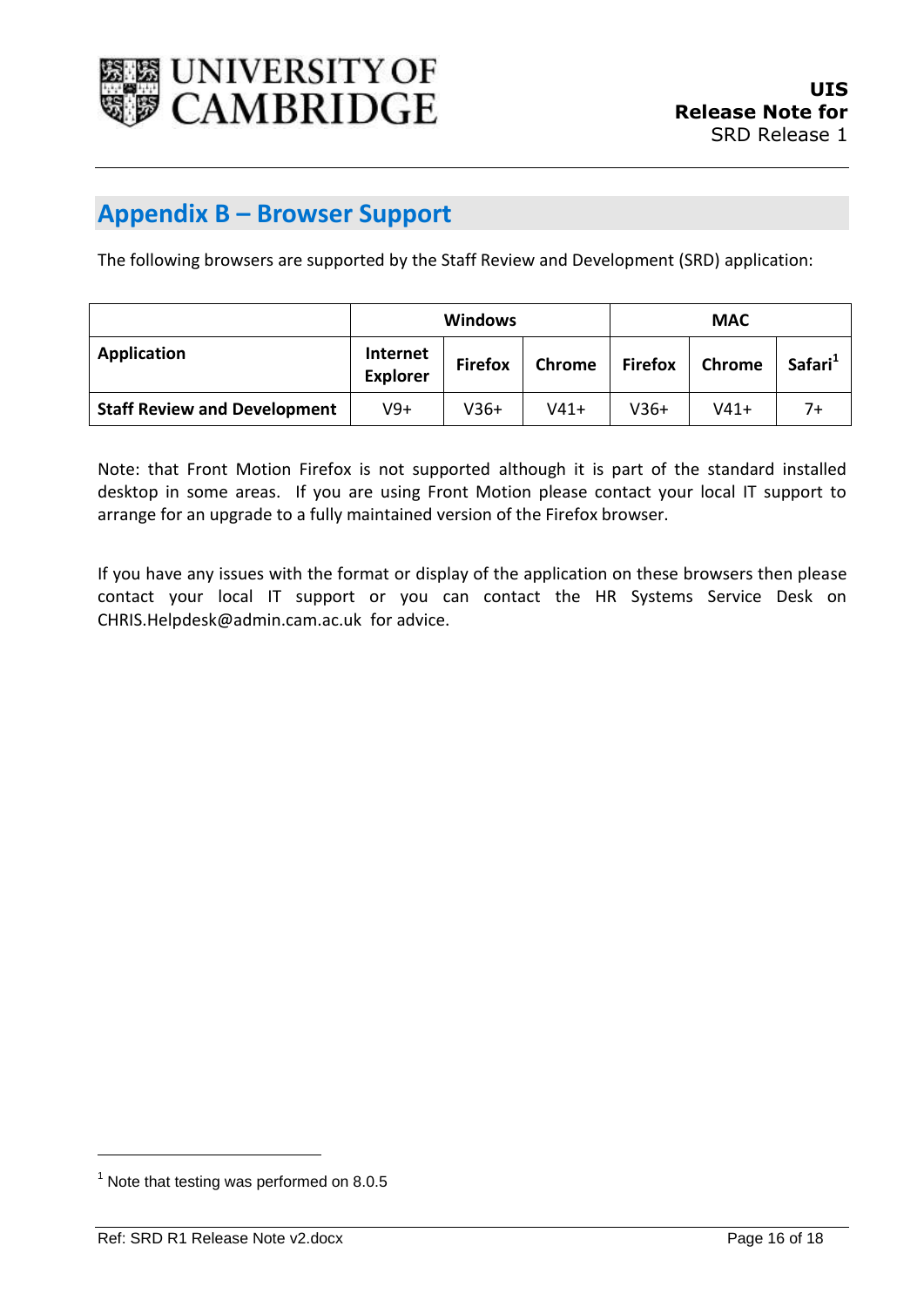

### <span id="page-15-0"></span>**Appendix B – Browser Support**

The following browsers are supported by the Staff Review and Development (SRD) application:

|                                     | <b>Windows</b>              |                |               | <b>MAC</b>     |        |                     |
|-------------------------------------|-----------------------------|----------------|---------------|----------------|--------|---------------------|
| Application                         | Internet<br><b>Explorer</b> | <b>Firefox</b> | <b>Chrome</b> | <b>Firefox</b> | Chrome | Safari <sup>1</sup> |
| <b>Staff Review and Development</b> | $V9+$                       | $V36+$         | $V41+$        | $V36+$         | $V41+$ | 7+                  |

Note: that Front Motion Firefox is not supported although it is part of the standard installed desktop in some areas. If you are using Front Motion please contact your local IT support to arrange for an upgrade to a fully maintained version of the Firefox browser.

If you have any issues with the format or display of the application on these browsers then please contact your local IT support or you can contact the HR Systems Service Desk on CHRIS.Helpdesk@admin.cam.ac.uk for advice.

l

 $<sup>1</sup>$  Note that testing was performed on 8.0.5</sup>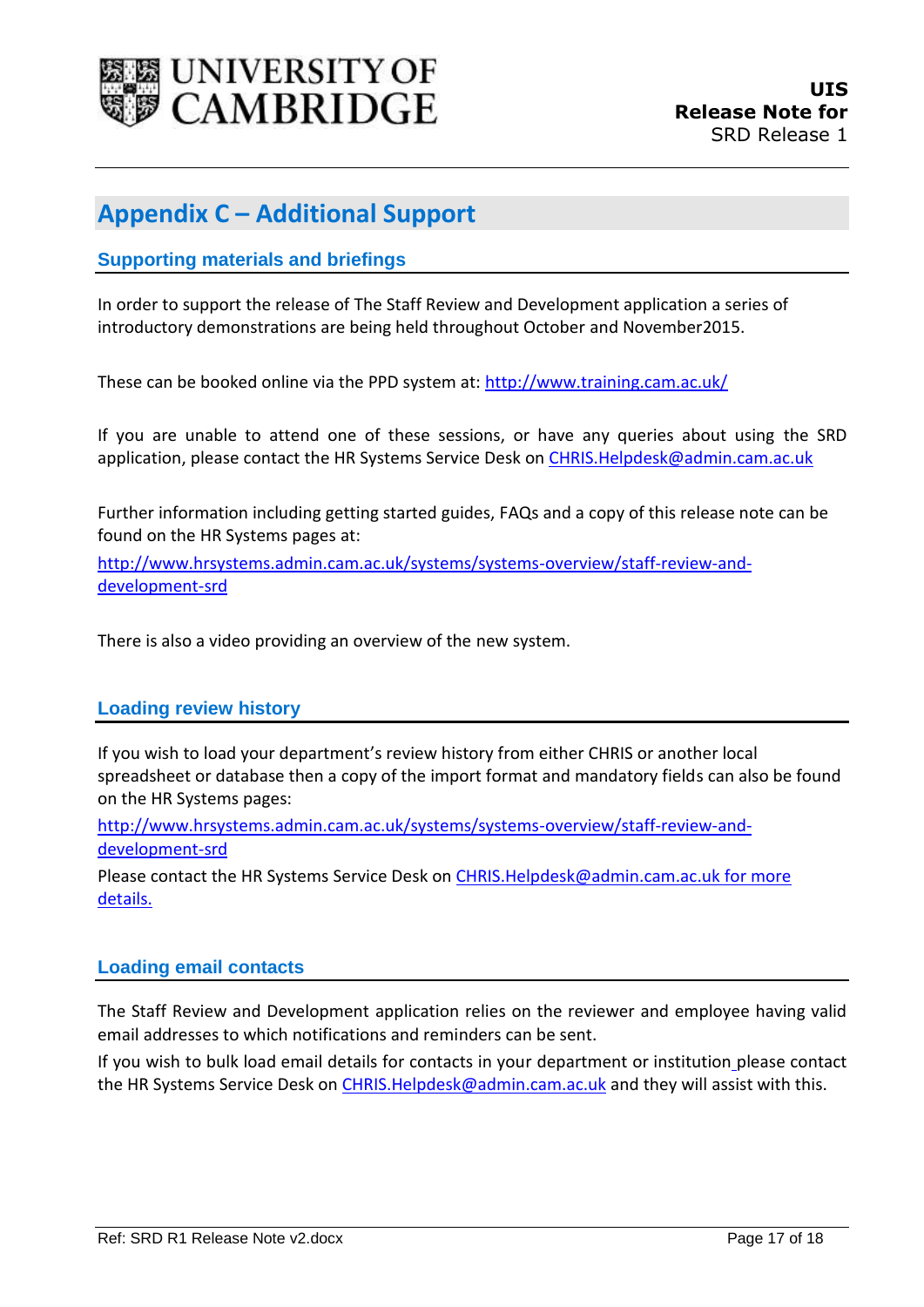

### <span id="page-16-0"></span>**Appendix C – Additional Support**

### <span id="page-16-1"></span>**Supporting materials and briefings**

In order to support the release of The Staff Review and Development application a series of introductory demonstrations are being held throughout October and November2015.

These can be booked online via the PPD system at: [http://www.training.cam.ac.uk/](http://www.training.cam.ac.uk/ucs/course/uis-ttb-app)

If you are unable to attend one of these sessions, or have any queries about using the SRD application, please contact the HR Systems Service Desk on [CHRIS.Helpdesk@admin.cam.ac.uk](mailto:CHRIS.Helpdesk@admin.cam.ac.uk)

Further information including getting started guides, FAQs and a copy of this release note can be found on the HR Systems pages at:

[http://www.hrsystems.admin.cam.ac.uk/systems/systems-overview/staff-review-and](http://www.hrsystems.admin.cam.ac.uk/systems/systems-overview/staff-review-and-development-srd)[development-srd](http://www.hrsystems.admin.cam.ac.uk/systems/systems-overview/staff-review-and-development-srd)

There is also a video providing an overview of the new system.

#### <span id="page-16-2"></span>**Loading review history**

If you wish to load your department's review history from either CHRIS or another local spreadsheet or database then a copy of the import format and mandatory fields can also be found on the HR Systems pages:

[http://www.hrsystems.admin.cam.ac.uk/systems/systems-overview/staff-review-and](http://www.hrsystems.admin.cam.ac.uk/systems/systems-overview/staff-review-and-development-srd)[development-srd](http://www.hrsystems.admin.cam.ac.uk/systems/systems-overview/staff-review-and-development-srd)

Please contact the HR Systems Service Desk o[n CHRIS.Helpdesk@admin.cam.ac.uk](mailto:CHRIS.Helpdesk@admin.cam.ac.uk) for more details.

#### <span id="page-16-3"></span>**Loading email contacts**

The Staff Review and Development application relies on the reviewer and employee having valid email addresses to which notifications and reminders can be sent.

If you wish to bulk load email details for contacts in your department or institution please contact the HR Systems Service Desk on CHRIS. Helpdesk@admin.cam.ac.uk and they will assist with this.